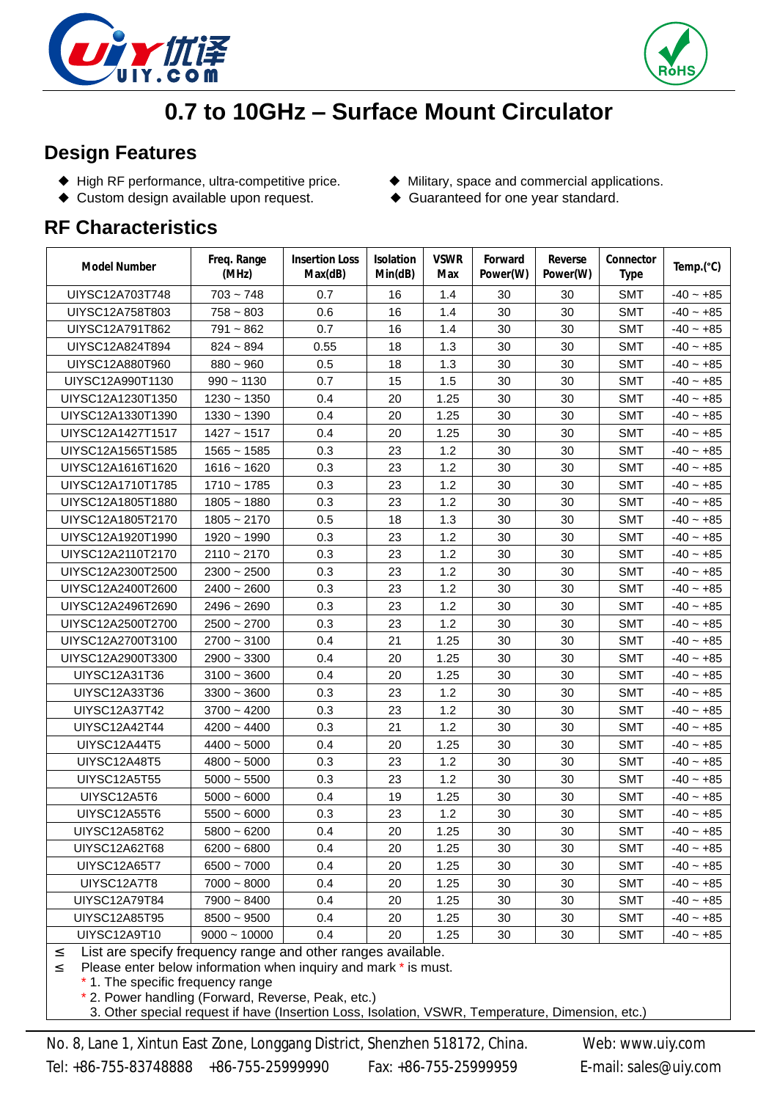



## **0.7 to 10GHz – Surface Mount Circulator**

## **Design Features**

- ◆ High RF performance, ultra-competitive price. → ◆ Military, space and commercial applications.
- ◆ Custom design available upon request. <br>◆ Guaranteed for one year standard.
- -

## **RF Characteristics**

| Model Number                                                  | Freq. Range<br>(MHz) | <b>Insertion Loss</b><br>Max(dB) | <b>Isolation</b><br>Min(dB) | <b>VSWR</b><br>Max | Forward<br>Power(W) | Reverse<br>Power(W) | Connector<br><b>Type</b> | Temp.(°C)   |
|---------------------------------------------------------------|----------------------|----------------------------------|-----------------------------|--------------------|---------------------|---------------------|--------------------------|-------------|
| UIYSC12A703T748                                               | $703 - 748$          | 0.7                              | 16                          | 1.4                | 30                  | 30                  | <b>SMT</b>               | $-40 - +85$ |
| UIYSC12A758T803                                               | $758 - 803$          | 0.6                              | 16                          | 1.4                | 30                  | 30                  | <b>SMT</b>               | $-40 - +85$ |
| UIYSC12A791T862                                               | $791 - 862$          | 0.7                              | 16                          | 1.4                | 30                  | 30                  | <b>SMT</b>               | $-40 - +85$ |
| UIYSC12A824T894                                               | $824 - 894$          | 0.55                             | 18                          | 1.3                | 30                  | 30                  | <b>SMT</b>               | $-40 - +85$ |
| UIYSC12A880T960                                               | $880 - 960$          | 0.5                              | 18                          | 1.3                | 30                  | 30                  | <b>SMT</b>               | $-40 - +85$ |
| UIYSC12A990T1130                                              | $990 - 1130$         | 0.7                              | 15                          | 1.5                | 30                  | 30                  | <b>SMT</b>               | $-40 - +85$ |
| UIYSC12A1230T1350                                             | $1230 - 1350$        | 0.4                              | 20                          | 1.25               | 30                  | 30                  | <b>SMT</b>               | $-40 - +85$ |
| UIYSC12A1330T1390                                             | $1330 - 1390$        | 0.4                              | 20                          | 1.25               | 30                  | 30                  | <b>SMT</b>               | $-40 - +85$ |
| UIYSC12A1427T1517                                             | $1427 - 1517$        | 0.4                              | 20                          | 1.25               | 30                  | 30                  | <b>SMT</b>               | $-40 - +85$ |
| UIYSC12A1565T1585                                             | $1565 - 1585$        | 0.3                              | 23                          | 1.2                | 30                  | 30                  | <b>SMT</b>               | $-40 - +85$ |
| UIYSC12A1616T1620                                             | $1616 - 1620$        | 0.3                              | 23                          | 1.2                | 30                  | 30                  | <b>SMT</b>               | $-40 - +85$ |
| UIYSC12A1710T1785                                             | $1710 - 1785$        | 0.3                              | 23                          | 1.2                | 30                  | 30                  | <b>SMT</b>               | $-40 - +85$ |
| UIYSC12A1805T1880                                             | $1805 - 1880$        | 0.3                              | 23                          | 1.2                | 30                  | 30                  | <b>SMT</b>               | $-40 - +85$ |
| UIYSC12A1805T2170                                             | $1805 - 2170$        | 0.5                              | 18                          | 1.3                | 30                  | 30                  | <b>SMT</b>               | $-40 - +85$ |
| UIYSC12A1920T1990                                             | $1920 - 1990$        | 0.3                              | 23                          | 1.2                | 30                  | 30                  | <b>SMT</b>               | $-40 - +85$ |
| UIYSC12A2110T2170                                             | $2110 - 2170$        | 0.3                              | 23                          | 1.2                | 30                  | 30                  | <b>SMT</b>               | $-40 - +85$ |
| UIYSC12A2300T2500                                             | $2300 - 2500$        | 0.3                              | 23                          | 1.2                | 30                  | 30                  | <b>SMT</b>               | $-40 - +85$ |
| UIYSC12A2400T2600                                             | $2400 - 2600$        | 0.3                              | 23                          | 1.2                | 30                  | 30                  | <b>SMT</b>               | $-40 - +85$ |
| UIYSC12A2496T2690                                             | $2496 - 2690$        | 0.3                              | 23                          | 1.2                | 30                  | 30                  | <b>SMT</b>               | $-40 - +85$ |
| UIYSC12A2500T2700                                             | $2500 - 2700$        | 0.3                              | 23                          | 1.2                | 30                  | 30                  | <b>SMT</b>               | $-40 - +85$ |
| UIYSC12A2700T3100                                             | $2700 - 3100$        | 0.4                              | 21                          | 1.25               | 30                  | 30                  | <b>SMT</b>               | $-40 - +85$ |
| UIYSC12A2900T3300                                             | $2900 - 3300$        | 0.4                              | 20                          | 1.25               | 30                  | 30                  | <b>SMT</b>               | $-40 - +85$ |
| UIYSC12A31T36                                                 | $3100 - 3600$        | 0.4                              | 20                          | 1.25               | 30                  | 30                  | <b>SMT</b>               | $-40 - +85$ |
| <b>UIYSC12A33T36</b>                                          | $3300 - 3600$        | 0.3                              | 23                          | 1.2                | 30                  | 30                  | <b>SMT</b>               | $-40 - +85$ |
| <b>UIYSC12A37T42</b>                                          | $3700 - 4200$        | 0.3                              | 23                          | 1.2                | 30                  | 30                  | <b>SMT</b>               | $-40 - +85$ |
| UIYSC12A42T44                                                 | $4200 - 4400$        | 0.3                              | 21                          | 1.2                | 30                  | 30                  | <b>SMT</b>               | $-40 - +85$ |
| UIYSC12A44T5                                                  | $4400 - 5000$        | 0.4                              | 20                          | 1.25               | 30                  | 30                  | <b>SMT</b>               | $-40 - +85$ |
| UIYSC12A48T5                                                  | $4800 - 5000$        | 0.3                              | 23                          | 1.2                | 30                  | 30                  | <b>SMT</b>               | $-40 - +85$ |
| UIYSC12A5T55                                                  | $5000 - 5500$        | 0.3                              | 23                          | 1.2                | 30                  | 30                  | <b>SMT</b>               | $-40 - +85$ |
| UIYSC12A5T6                                                   | $5000 - 6000$        | 0.4                              | 19                          | 1.25               | 30                  | 30                  | <b>SMT</b>               | $-40 - +85$ |
| UIYSC12A55T6                                                  | $5500 - 6000$        | 0.3                              | 23                          | 1.2                | 30                  | 30                  | <b>SMT</b>               | $-40 - +85$ |
| UIYSC12A58T62                                                 | $5800 - 6200$        | 0.4                              | $20\,$                      | 1.25               | $30\,$              | $30\,$              | <b>SMT</b>               | $-40 - +85$ |
| UIYSC12A62T68                                                 | $6200 - 6800$        | 0.4                              | 20                          | 1.25               | 30                  | 30                  | <b>SMT</b>               | $-40 - +85$ |
| UIYSC12A65T7                                                  | $6500 - 7000$        | 0.4                              | 20                          | 1.25               | 30                  | 30                  | <b>SMT</b>               | $-40 - +85$ |
| UIYSC12A7T8                                                   | $7000 - 8000$        | 0.4                              | 20                          | 1.25               | 30                  | 30                  | <b>SMT</b>               | $-40 - +85$ |
| UIYSC12A79T84                                                 | $7900 - 8400$        | 0.4                              | 20                          | 1.25               | 30                  | 30                  | <b>SMT</b>               | $-40 - +85$ |
| UIYSC12A85T95                                                 | $8500 - 9500$        | 0.4                              | 20                          | 1.25               | 30                  | 30                  | <b>SMT</b>               | $-40 - +85$ |
| UIYSC12A9T10                                                  | $9000 - 10000$       | 0.4                              | 20                          | 1.25               | 30                  | 30                  | <b>SMT</b>               | $-40 - +85$ |
| 2 List are specify frequency range and other ranges available |                      |                                  |                             |                    |                     |                     |                          |             |

 $\leq$  List are specify frequency range and other ranges available.<br>2. Please enter below information when inquiry and mark \* is mus

Please enter below information when inquiry and mark \* is must.

\* 1. The specific frequency range

\* 2. Power handling (Forward, Reverse, Peak, etc.)

.3. Other special request if have (Insertion Loss, Isolation, VSWR, Temperature, Dimension, etc.)

No. 8, Lane 1, Xintun East Zone, Longgang District, Shenzhen 518172, China. Web: [www.uiy.com](http://www.uiy.com) Tel: +86-755-83748888 +86-755-25999990 Fax: +86-755-25999959 E-mail: [sales@uiy.com](mailto:sales@uiy.com)